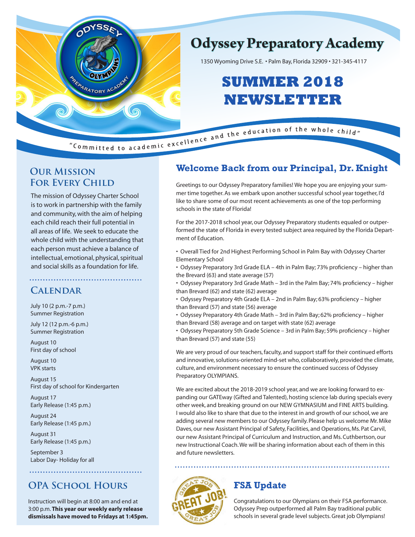

## **Odyssey Preparatory Academy**

1350 Wyoming Drive S.E. • Palm Bay, Florida 32909 • 321-345-4117

# **SUMMER 2018 NEWSLETTER**

## **Our Mission FOR EVERY CHILD**

The mission of Odyssey Charter School is to work in partnership with the family and community, with the aim of helping each child reach their full potential in all areas of life. We seek to educate the whole child with the understanding that each person must achieve a balance of intellectual, emotional, physical, spiritual and social skills as a foundation for life.

## **Calendar**

July 10 (2 p.m.-7 p.m.) Summer Registration

July 12 (12 p.m.-6 p.m.) Summer Registration

August 10 First day of school

August 10 VPK starts

August 15 First day of school for Kindergarten

August 17 Early Release (1:45 p.m.)

August 24 Early Release (1:45 p.m.)

August 31 Early Release (1:45 p.m.)

September 3 Labor Day- Holiday for all

## **OPA School Hours**

Instruction will begin at 8:00 am and end at 3:00 p.m. **This year our weekly early release dismissals have moved to Fridays at 1:45pm.**

## **Welcome Back from our Principal, Dr. Knight**

Greetings to our Odyssey Preparatory families! We hope you are enjoying your summer time together. As we embark upon another successful school year together, I'd like to share some of our most recent achievements as one of the top performing schools in the state of Florida!

For the 2017-2018 school year, our Odyssey Preparatory students equaled or outperformed the state of Florida in every tested subject area required by the Florida Department of Education.

• Overall Tied for 2nd Highest Performing School in Palm Bay with Odyssey Charter Elementary School

• Odyssey Preparatory 3rd Grade ELA – 4th in Palm Bay; 73% proficiency – higher than the Brevard (63) and state average (57)

• Odyssey Preparatory 3rd Grade Math – 3rd in the Palm Bay; 74% proficiency – higher than Brevard (62) and state (62) average

• Odyssey Preparatory 4th Grade ELA – 2nd in Palm Bay; 63% proficiency – higher than Brevard (57) and state (56) average

• Odyssey Preparatory 4th Grade Math – 3rd in Palm Bay; 62% proficiency – higher than Brevard (58) average and on target with state (62) average

• Odyssey Preparatory 5th Grade Science – 3rd in Palm Bay; 59% proficiency – higher than Brevard (57) and state (55)

We are very proud of our teachers, faculty, and support staff for their continued efforts and innovative, solutions-oriented mind-set who, collaboratively, provided the climate, culture, and environment necessary to ensure the continued success of Odyssey Preparatory OLYMPIANS.

We are excited about the 2018-2019 school year, and we are looking forward to expanding our GATEway (Gifted and Talented), hosting science lab during specials every other week, and breaking ground on our NEW GYMNASIUM and FINE ARTS building. I would also like to share that due to the interest in and growth of our school, we are adding several new members to our Odyssey family. Please help us welcome Mr. Mike Daves, our new Assistant Principal of Safety, Facilities, and Operations, Ms. Pat Carvil, our new Assistant Principal of Curriculum and Instruction, and Ms. Cuthbertson, our new Instructional Coach. We will be sharing information about each of them in this and future newsletters.



## **FSA Update**

Congratulations to our Olympians on their FSA performance. Odyssey Prep outperformed all Palm Bay traditional public schools in several grade level subjects. Great job Olympians!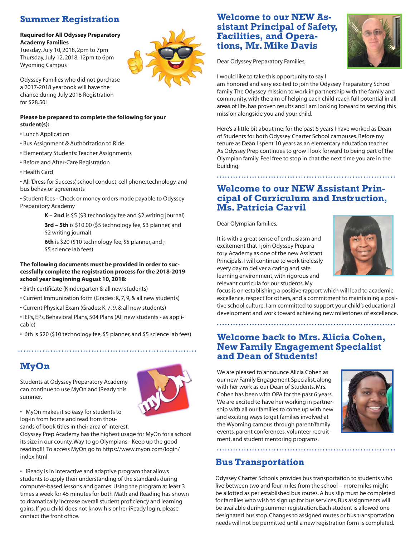## **Summer Registration**

#### **Required for All Odyssey Preparatory Academy Families**

Tuesday, July 10, 2018, 2pm to 7pm Thursday, July 12, 2018, 12pm to 6pm Wyoming Campus



Odyssey Families who did not purchase a 2017-2018 yearbook will have the chance during July 2018 Registration for \$28.50!

#### **Please be prepared to complete the following for your student(s):**

- Lunch Application
- Bus Assignment & Authorization to Ride
- Elementary Students: Teacher Assignments
- Before and After-Care Registration
- Health Card

• All 'Dress for Success', school conduct, cell phone, technology, and bus behavior agreements

• Student fees - Check or money orders made payable to Odyssey Preparatory Academy

> **K – 2nd** is \$5 (\$3 technology fee and \$2 writing journal) **3rd – 5th** is \$10.00 (\$5 technology fee, \$3 planner, and \$2 writing journal)

**6th** is \$20 (\$10 technology fee, \$5 planner, and ; \$5 science lab fees)

#### **The following documents must be provided in order to successfully complete the registration process for the 2018-2019 school year beginning August 10, 2018:**

- Birth certificate (Kindergarten & all new students)
- Current Immunization form (Grades: K, 7, 9, & all new students)
- Current Physical Exam (Grades: K, 7, 9, & all new students)

• IEPs, EPs, Behavioral Plans, 504 Plans (All new students - as applicable)

• 6th is \$20 (\$10 technology fee, \$5 planner, and \$5 science lab fees)

## **MyOn**

Students at Odyssey Preparatory Academy can continue to use MyOn and iReady this summer.



• MyOn makes it so easy for students to log-in from home and read from thousands of book titles in their area of interest.

Odyssey Prep Academy has the highest usage for MyOn for a school its size in our county. Way to go Olympians - Keep up the good reading!!! To access MyOn go to https://www.myon.com/login/ index.html

• iReady is in interactive and adaptive program that allows students to apply their understanding of the standards during computer-based lessons and games. Using the program at least 3 times a week for 45 minutes for both Math and Reading has shown to dramatically increase overall student proficiency and learning gains. If you child does not know his or her iReady login, please contact the front office.

# **Welcome to our NEW As- sistant Principal of Safety, Facilities, and Opera- tions, Mr. Mike Davis**



Dear Odyssey Preparatory Families,

I would like to take this opportunity to say I

am honored and very excited to join the Odyssey Preparatory School family. The Odyssey mission to work in partnership with the family and community, with the aim of helping each child reach full potential in all areas of life, has proven results and I am looking forward to serving this mission alongside you and your child.

Here's a little bit about me; for the past 6 years I have worked as Dean of Students for both Odyssey Charter School campuses. Before my tenure as Dean I spent 10 years as an elementary education teacher. As Odyssey Prep continues to grow I look forward to being part of the Olympian family. Feel free to stop in chat the next time you are in the building.

#### **Welcome to our NEW Assistant Principal of Curriculum and Instruction, Ms. Patricia Carvil**

Dear Olympian families,

It is with a great sense of enthusiasm and excitement that I join Odyssey Preparatory Academy as one of the new Assistant Principals. I will continue to work tirelessly every day to deliver a caring and safe learning environment, with rigorous and relevant curricula for our students. My



focus is on establishing a positive rapport which will lead to academic excellence, respect for others, and a commitment to maintaining a positive school culture. I am committed to support your child's educational development and work toward achieving new milestones of excellence.

#### **Welcome back to Mrs. Alicia Cohen, New Family Engagement Specialist and Dean of Students!**

We are pleased to announce Alicia Cohen as our new Family Engagement Specialist, along with her work as our Dean of Students. Mrs. Cohen has been with OPA for the past 6 years. We are excited to have her working in partnership with all our families to come up with new and exciting ways to get families involved at the Wyoming campus through parent/family events, parent conferences, volunteer recruitment, and student mentoring programs.



#### **Bus Transportation**

Odyssey Charter Schools provides bus transportation to students who live between two and four miles from the school – more miles might be allotted as per established bus routes. A bus slip must be completed for families who wish to sign up for bus services. Bus assignments will be available during summer registration. Each student is allowed one designated bus stop. Changes to assigned routes or bus transportation needs will not be permitted until a new registration form is completed.